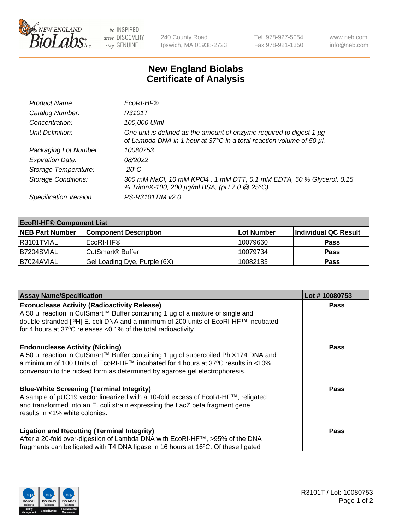

be INSPIRED drive DISCOVERY stay GENUINE

240 County Road Ipswich, MA 01938-2723 Tel 978-927-5054 Fax 978-921-1350 www.neb.com info@neb.com

## **New England Biolabs Certificate of Analysis**

| Product Name:              | EcoRI-HF®                                                                                                                                   |
|----------------------------|---------------------------------------------------------------------------------------------------------------------------------------------|
| Catalog Number:            | R3101T                                                                                                                                      |
| Concentration:             | 100,000 U/ml                                                                                                                                |
| Unit Definition:           | One unit is defined as the amount of enzyme required to digest 1 µg<br>of Lambda DNA in 1 hour at 37°C in a total reaction volume of 50 µl. |
| Packaging Lot Number:      | 10080753                                                                                                                                    |
| <b>Expiration Date:</b>    | 08/2022                                                                                                                                     |
| Storage Temperature:       | -20°C                                                                                                                                       |
| <b>Storage Conditions:</b> | 300 mM NaCl, 10 mM KPO4, 1 mM DTT, 0.1 mM EDTA, 50 % Glycerol, 0.15<br>% TritonX-100, 200 µg/ml BSA, (pH 7.0 @ 25°C)                        |
| Specification Version:     | PS-R3101T/M v2.0                                                                                                                            |

| <b>EcoRI-HF® Component List</b> |                              |             |                      |  |  |
|---------------------------------|------------------------------|-------------|----------------------|--|--|
| <b>NEB Part Number</b>          | <b>Component Description</b> | ⊺Lot Number | Individual QC Result |  |  |
| I R3101TVIAL                    | EcoRI-HF®                    | 10079660    | <b>Pass</b>          |  |  |
| IB7204SVIAL                     | CutSmart <sup>®</sup> Buffer | 10079734    | <b>Pass</b>          |  |  |
| I B7024AVIAL                    | Gel Loading Dye, Purple (6X) | 10082183    | <b>Pass</b>          |  |  |

| <b>Assay Name/Specification</b>                                                                                                                                                    | Lot #10080753 |
|------------------------------------------------------------------------------------------------------------------------------------------------------------------------------------|---------------|
| <b>Exonuclease Activity (Radioactivity Release)</b>                                                                                                                                | <b>Pass</b>   |
| A 50 µl reaction in CutSmart™ Buffer containing 1 µg of a mixture of single and<br>double-stranded [ <sup>3</sup> H] E. coli DNA and a minimum of 200 units of EcoRI-HF™ incubated |               |
| for 4 hours at 37°C releases <0.1% of the total radioactivity.                                                                                                                     |               |
| <b>Endonuclease Activity (Nicking)</b>                                                                                                                                             | <b>Pass</b>   |
| A 50 µl reaction in CutSmart™ Buffer containing 1 µg of supercoiled PhiX174 DNA and<br>  a minimum of 100 Units of EcoRI-HF™ incubated for 4 hours at 37°C results in <10%         |               |
| conversion to the nicked form as determined by agarose gel electrophoresis.                                                                                                        |               |
| <b>Blue-White Screening (Terminal Integrity)</b>                                                                                                                                   | Pass          |
| A sample of pUC19 vector linearized with a 10-fold excess of EcoRI-HF™, religated                                                                                                  |               |
| and transformed into an E. coli strain expressing the LacZ beta fragment gene<br>results in <1% white colonies.                                                                    |               |
|                                                                                                                                                                                    |               |
| <b>Ligation and Recutting (Terminal Integrity)</b>                                                                                                                                 | Pass          |
| After a 20-fold over-digestion of Lambda DNA with EcoRI-HF™, >95% of the DNA                                                                                                       |               |
| fragments can be ligated with T4 DNA ligase in 16 hours at 16°C. Of these ligated                                                                                                  |               |